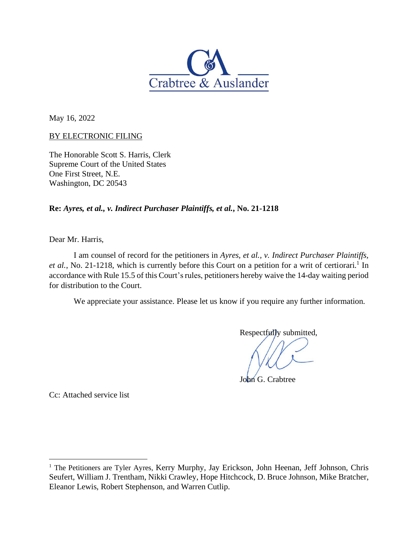

May 16, 2022

## BY ELECTRONIC FILING

The Honorable Scott S. Harris, Clerk Supreme Court of the United States One First Street, N.E. Washington, DC 20543

**Re:** *Ayres, et al., v. Indirect Purchaser Plaintiffs, et al.***, No. 21-1218**

Dear Mr. Harris,

I am counsel of record for the petitioners in *Ayres, et al., v. Indirect Purchaser Plaintiffs,*  et al., No. 21-1218, which is currently before this Court on a petition for a writ of certiorari.<sup>1</sup> In accordance with Rule 15.5 of this Court's rules, petitioners hereby waive the 14-day waiting period for distribution to the Court.

We appreciate your assistance. Please let us know if you require any further information.

Respectfully submitted,

John G. Crabtree

Cc: Attached service list

<sup>&</sup>lt;sup>1</sup> The Petitioners are Tyler Ayres, Kerry Murphy, Jay Erickson, John Heenan, Jeff Johnson, Chris Seufert, William J. Trentham, Nikki Crawley, Hope Hitchcock, D. Bruce Johnson, Mike Bratcher, Eleanor Lewis, Robert Stephenson, and Warren Cutlip.